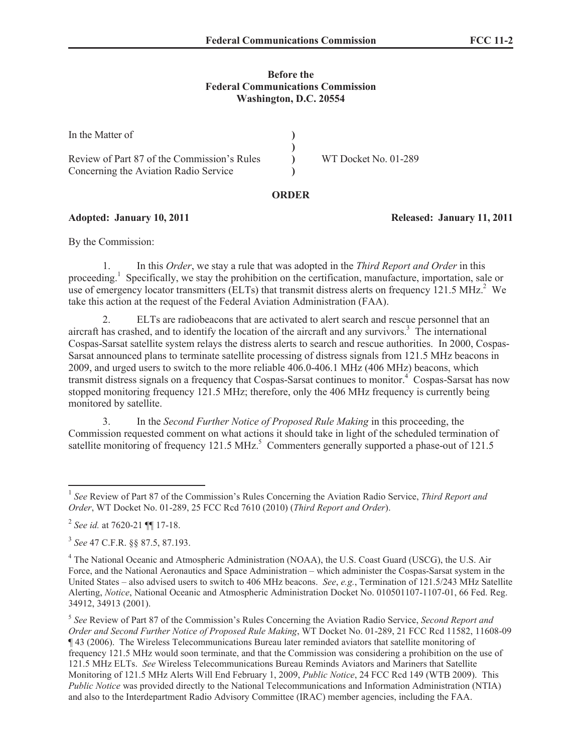## **Before the Federal Communications Commission Washington, D.C. 20554**

| In the Matter of                                                                     |                      |
|--------------------------------------------------------------------------------------|----------------------|
| Review of Part 87 of the Commission's Rules<br>Concerning the Aviation Radio Service | WT Docket No. 01-289 |

## **ORDER**

**Adopted: January 10, 2011 Released: January 11, 2011**

By the Commission:

1. In this *Order*, we stay a rule that was adopted in the *Third Report and Order* in this proceeding.<sup>1</sup> Specifically, we stay the prohibition on the certification, manufacture, importation, sale or use of emergency locator transmitters (ELTs) that transmit distress alerts on frequency 121.5 MHz.<sup>2</sup> We take this action at the request of the Federal Aviation Administration (FAA).

2. ELTs are radiobeacons that are activated to alert search and rescue personnel that an aircraft has crashed, and to identify the location of the aircraft and any survivors.<sup>3</sup> The international Cospas-Sarsat satellite system relays the distress alerts to search and rescue authorities. In 2000, Cospas-Sarsat announced plans to terminate satellite processing of distress signals from 121.5 MHz beacons in 2009, and urged users to switch to the more reliable 406.0-406.1 MHz (406 MHz) beacons, which transmit distress signals on a frequency that Cospas-Sarsat continues to monitor. <sup>4</sup> Cospas-Sarsat has now stopped monitoring frequency 121.5 MHz; therefore, only the 406 MHz frequency is currently being monitored by satellite.

3. In the *Second Further Notice of Proposed Rule Making* in this proceeding, the Commission requested comment on what actions it should take in light of the scheduled termination of satellite monitoring of frequency 121.5 MHz.<sup>5</sup> Commenters generally supported a phase-out of 121.5

<sup>&</sup>lt;sup>1</sup> See Review of Part 87 of the Commission's Rules Concerning the Aviation Radio Service, *Third Report and Order*, WT Docket No. 01-289, 25 FCC Rcd 7610 (2010) (*Third Report and Order*).

<sup>2</sup> *See id.* at 7620-21 ¶¶ 17-18.

<sup>3</sup> *See* 47 C.F.R. §§ 87.5, 87.193.

<sup>4</sup> The National Oceanic and Atmospheric Administration (NOAA), the U.S. Coast Guard (USCG), the U.S. Air Force, and the National Aeronautics and Space Administration – which administer the Cospas-Sarsat system in the United States – also advised users to switch to 406 MHz beacons. *See*, *e.g.*, Termination of 121.5/243 MHz Satellite Alerting, *Notice*, National Oceanic and Atmospheric Administration Docket No. 010501107-1107-01, 66 Fed. Reg. 34912, 34913 (2001).

<sup>5</sup> *See* Review of Part 87 of the Commission's Rules Concerning the Aviation Radio Service, *Second Report and Order and Second Further Notice of Proposed Rule Making*, WT Docket No. 01-289, 21 FCC Rcd 11582, 11608-09 ¶ 43 (2006). The Wireless Telecommunications Bureau later reminded aviators that satellite monitoring of frequency 121.5 MHz would soon terminate, and that the Commission was considering a prohibition on the use of 121.5 MHz ELTs. *See* Wireless Telecommunications Bureau Reminds Aviators and Mariners that Satellite Monitoring of 121.5 MHz Alerts Will End February 1, 2009, *Public Notice*, 24 FCC Rcd 149 (WTB 2009). This *Public Notice* was provided directly to the National Telecommunications and Information Administration (NTIA) and also to the Interdepartment Radio Advisory Committee (IRAC) member agencies, including the FAA.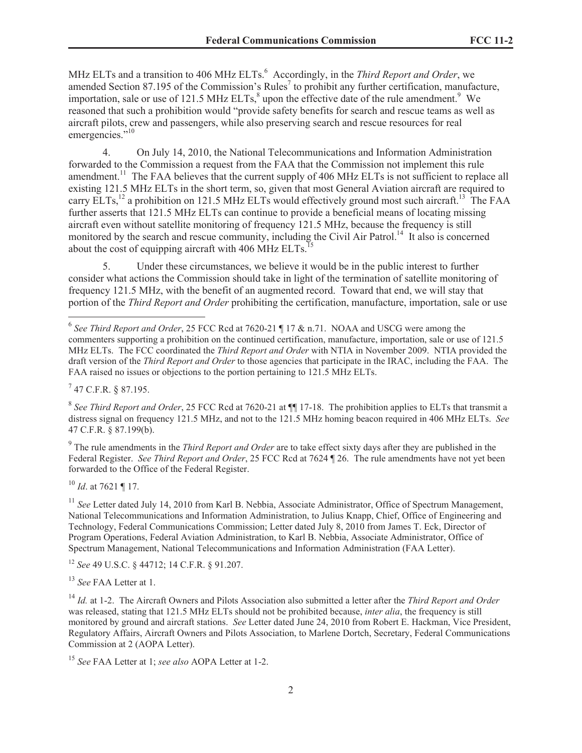MHz ELTs and a transition to 406 MHz ELTs.<sup>6</sup> Accordingly, in the *Third Report and Order*, we amended Section 87.195 of the Commission's Rules<sup>7</sup> to prohibit any further certification, manufacture, importation, sale or use of 121.5 MHz ELTs, $^8$  upon the effective date of the rule amendment.<sup>9</sup> We reasoned that such a prohibition would "provide safety benefits for search and rescue teams as well as aircraft pilots, crew and passengers, while also preserving search and rescue resources for real emergencies."<sup>10</sup>

4. On July 14, 2010, the National Telecommunications and Information Administration forwarded to the Commission a request from the FAA that the Commission not implement this rule amendment.<sup>11</sup> The FAA believes that the current supply of 406 MHz ELTs is not sufficient to replace all existing 121.5 MHz ELTs in the short term, so, given that most General Aviation aircraft are required to carry ELTs,<sup>12</sup> a prohibition on 121.5 MHz ELTs would effectively ground most such aircraft.<sup>13</sup> The FAA further asserts that 121.5 MHz ELTs can continue to provide a beneficial means of locating missing aircraft even without satellite monitoring of frequency 121.5 MHz, because the frequency is still monitored by the search and rescue community, including the Civil Air Patrol.<sup>14</sup> It also is concerned about the cost of equipping aircraft with 406 MHz  $ELTs$ <sup>1</sup>

5. Under these circumstances, we believe it would be in the public interest to further consider what actions the Commission should take in light of the termination of satellite monitoring of frequency 121.5 MHz, with the benefit of an augmented record. Toward that end, we will stay that portion of the *Third Report and Order* prohibiting the certification, manufacture, importation, sale or use

 $^{7}$  47 C.F.R. § 87.195.

<sup>8</sup> See Third Report and Order, 25 FCC Rcd at 7620-21 at  $\P$  17-18. The prohibition applies to ELTs that transmit a distress signal on frequency 121.5 MHz, and not to the 121.5 MHz homing beacon required in 406 MHz ELTs. *See*  47 C.F.R. § 87.199(b).

9 The rule amendments in the *Third Report and Order* are to take effect sixty days after they are published in the Federal Register. *See Third Report and Order*, 25 FCC Rcd at 7624 ¶ 26. The rule amendments have not yet been forwarded to the Office of the Federal Register.

<sup>10</sup> *Id*. at 7621 ¶ 17.

<sup>11</sup> *See* Letter dated July 14, 2010 from Karl B. Nebbia, Associate Administrator, Office of Spectrum Management, National Telecommunications and Information Administration, to Julius Knapp, Chief, Office of Engineering and Technology, Federal Communications Commission; Letter dated July 8, 2010 from James T. Eck, Director of Program Operations, Federal Aviation Administration, to Karl B. Nebbia, Associate Administrator, Office of Spectrum Management, National Telecommunications and Information Administration (FAA Letter).

<sup>12</sup> *See* 49 U.S.C. § 44712; 14 C.F.R. § 91.207.

<sup>13</sup> *See* FAA Letter at 1.

<sup>14</sup> *Id.* at 1-2. The Aircraft Owners and Pilots Association also submitted a letter after the *Third Report and Order* was released, stating that 121.5 MHz ELTs should not be prohibited because, *inter alia*, the frequency is still monitored by ground and aircraft stations. *See* Letter dated June 24, 2010 from Robert E. Hackman, Vice President, Regulatory Affairs, Aircraft Owners and Pilots Association, to Marlene Dortch, Secretary, Federal Communications Commission at 2 (AOPA Letter).

<sup>15</sup> *See* FAA Letter at 1; *see also* AOPA Letter at 1-2.

<sup>6</sup> *See Third Report and Order*, 25 FCC Rcd at 7620-21 ¶ 17 & n.71. NOAA and USCG were among the commenters supporting a prohibition on the continued certification, manufacture, importation, sale or use of 121.5 MHz ELTs. The FCC coordinated the *Third Report and Order* with NTIA in November 2009. NTIA provided the draft version of the *Third Report and Order* to those agencies that participate in the IRAC, including the FAA. The FAA raised no issues or objections to the portion pertaining to 121.5 MHz ELTs.